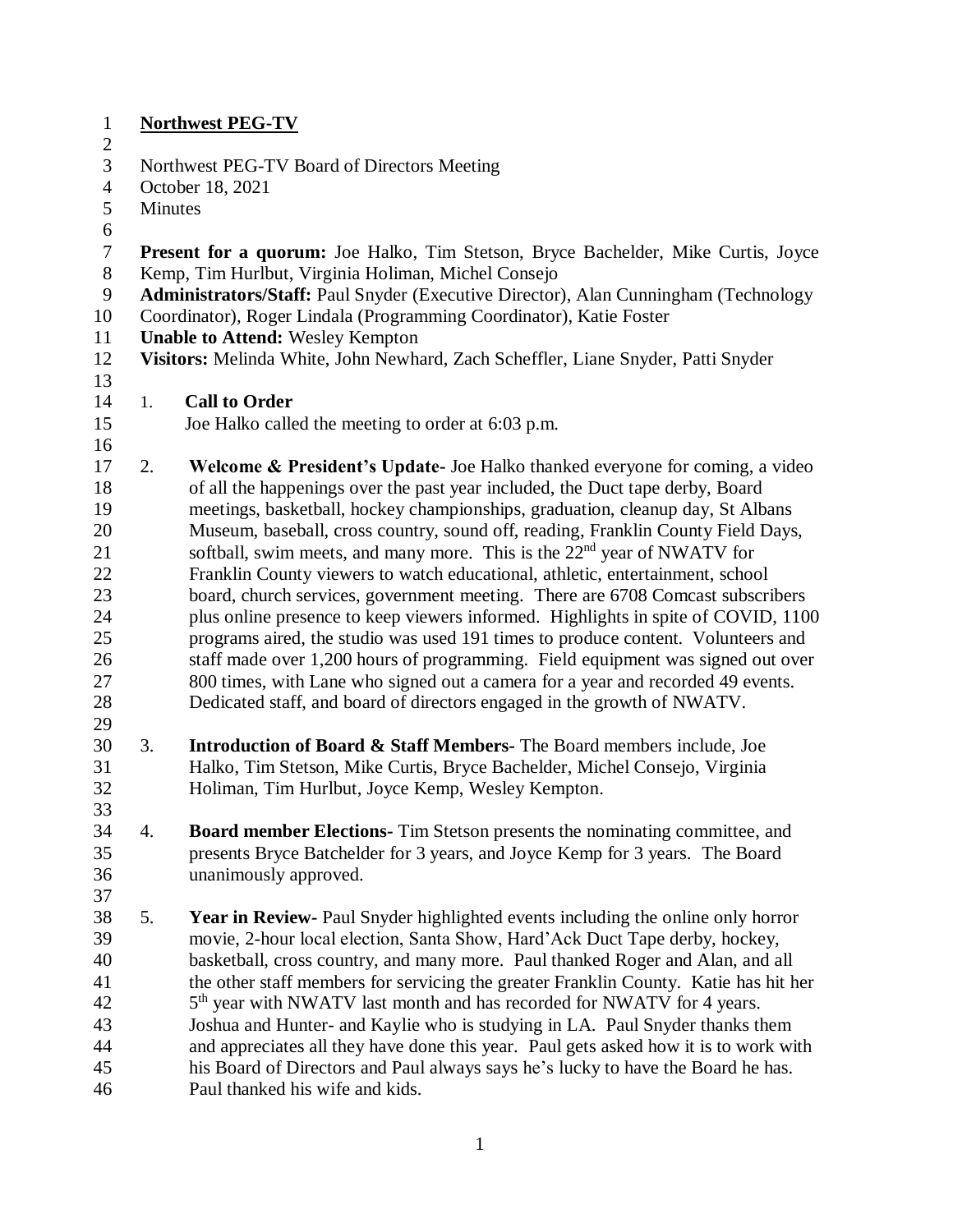| $\mathbf{1}$              | <b>Northwest PEG-TV</b>                                                                                                                                    |                                                                                      |  |  |  |
|---------------------------|------------------------------------------------------------------------------------------------------------------------------------------------------------|--------------------------------------------------------------------------------------|--|--|--|
| $\mathbf{2}$              |                                                                                                                                                            |                                                                                      |  |  |  |
| 3                         | Northwest PEG-TV Board of Directors Meeting                                                                                                                |                                                                                      |  |  |  |
| $\overline{4}$            | October 18, 2021                                                                                                                                           |                                                                                      |  |  |  |
| 5                         | Minutes                                                                                                                                                    |                                                                                      |  |  |  |
| 6                         |                                                                                                                                                            |                                                                                      |  |  |  |
| $\boldsymbol{7}$<br>$8\,$ | Present for a quorum: Joe Halko, Tim Stetson, Bryce Bachelder, Mike Curtis, Joyce<br>Kemp, Tim Hurlbut, Virginia Holiman, Michel Consejo                   |                                                                                      |  |  |  |
|                           |                                                                                                                                                            |                                                                                      |  |  |  |
| 9<br>10                   | Administrators/Staff: Paul Snyder (Executive Director), Alan Cunningham (Technology<br>Coordinator), Roger Lindala (Programming Coordinator), Katie Foster |                                                                                      |  |  |  |
| 11                        |                                                                                                                                                            | <b>Unable to Attend: Wesley Kempton</b>                                              |  |  |  |
| 12                        | Visitors: Melinda White, John Newhard, Zach Scheffler, Liane Snyder, Patti Snyder                                                                          |                                                                                      |  |  |  |
| 13                        |                                                                                                                                                            |                                                                                      |  |  |  |
| 14                        | 1.                                                                                                                                                         | <b>Call to Order</b>                                                                 |  |  |  |
| 15                        |                                                                                                                                                            | Joe Halko called the meeting to order at 6:03 p.m.                                   |  |  |  |
| 16                        |                                                                                                                                                            |                                                                                      |  |  |  |
| 17                        | 2.                                                                                                                                                         | Welcome & President's Update- Joe Halko thanked everyone for coming, a video         |  |  |  |
| 18                        |                                                                                                                                                            | of all the happenings over the past year included, the Duct tape derby, Board        |  |  |  |
| 19                        |                                                                                                                                                            | meetings, basketball, hockey championships, graduation, cleanup day, St Albans       |  |  |  |
| 20                        |                                                                                                                                                            | Museum, baseball, cross country, sound off, reading, Franklin County Field Days,     |  |  |  |
| 21                        |                                                                                                                                                            | softball, swim meets, and many more. This is the 22 <sup>nd</sup> year of NWATV for  |  |  |  |
| 22                        |                                                                                                                                                            | Franklin County viewers to watch educational, athletic, entertainment, school        |  |  |  |
| 23                        |                                                                                                                                                            | board, church services, government meeting. There are 6708 Comcast subscribers       |  |  |  |
| 24                        |                                                                                                                                                            | plus online presence to keep viewers informed. Highlights in spite of COVID, 1100    |  |  |  |
| 25                        |                                                                                                                                                            | programs aired, the studio was used 191 times to produce content. Volunteers and     |  |  |  |
| 26                        |                                                                                                                                                            | staff made over 1,200 hours of programming. Field equipment was signed out over      |  |  |  |
| 27                        |                                                                                                                                                            | 800 times, with Lane who signed out a camera for a year and recorded 49 events.      |  |  |  |
| 28                        |                                                                                                                                                            | Dedicated staff, and board of directors engaged in the growth of NWATV.              |  |  |  |
| 29                        |                                                                                                                                                            |                                                                                      |  |  |  |
| 30                        | 3.                                                                                                                                                         | Introduction of Board & Staff Members- The Board members include, Joe                |  |  |  |
| 31                        |                                                                                                                                                            | Halko, Tim Stetson, Mike Curtis, Bryce Bachelder, Michel Consejo, Virginia           |  |  |  |
| 32                        |                                                                                                                                                            | Holiman, Tim Hurlbut, Joyce Kemp, Wesley Kempton.                                    |  |  |  |
| 33                        |                                                                                                                                                            |                                                                                      |  |  |  |
|                           |                                                                                                                                                            |                                                                                      |  |  |  |
| 34                        | 4.                                                                                                                                                         | <b>Board member Elections-</b> Tim Stetson presents the nominating committee, and    |  |  |  |
| 35                        |                                                                                                                                                            | presents Bryce Batchelder for 3 years, and Joyce Kemp for 3 years. The Board         |  |  |  |
| 36                        |                                                                                                                                                            | unanimously approved.                                                                |  |  |  |
| 37                        |                                                                                                                                                            |                                                                                      |  |  |  |
| 38                        | 5.                                                                                                                                                         | Year in Review- Paul Snyder highlighted events including the online only horror      |  |  |  |
| 39                        |                                                                                                                                                            | movie, 2-hour local election, Santa Show, Hard'Ack Duct Tape derby, hockey,          |  |  |  |
| 40                        |                                                                                                                                                            | basketball, cross country, and many more. Paul thanked Roger and Alan, and all       |  |  |  |
| 41                        |                                                                                                                                                            | the other staff members for servicing the greater Franklin County. Katie has hit her |  |  |  |
| 42                        |                                                                                                                                                            | 5 <sup>th</sup> year with NWATV last month and has recorded for NWATV for 4 years.   |  |  |  |
| 43                        |                                                                                                                                                            | Joshua and Hunter- and Kaylie who is studying in LA. Paul Snyder thanks them         |  |  |  |
| 44                        |                                                                                                                                                            | and appreciates all they have done this year. Paul gets asked how it is to work with |  |  |  |
| 45                        |                                                                                                                                                            | his Board of Directors and Paul always says he's lucky to have the Board he has.     |  |  |  |
| 46                        |                                                                                                                                                            | Paul thanked his wife and kids.                                                      |  |  |  |
|                           |                                                                                                                                                            |                                                                                      |  |  |  |